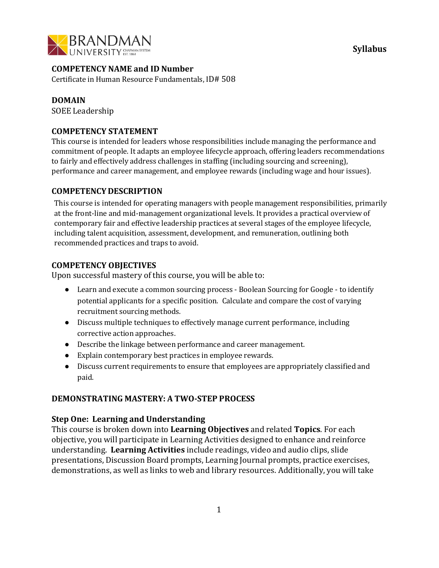

**Syllabus**

# **COMPETENCY NAME and ID Number**

Certificate in Human Resource Fundamentals, ID# 508

#### **DOMAIN**

SOEE Leadership

### **COMPETENCY STATEMENT**

This course is intended for leaders whose responsibilities include managing the performance and commitment of people. It adapts an employee lifecycle approach, offering leaders recommendations to fairly and effectively address challenges in staffing (including sourcing and screening), performance and career management, and employee rewards (including wage and hour issues).

# **COMPETENCY DESCRIPTION**

This course is intended for operating managers with people management responsibilities, primarily at the front-line and mid-management organizational levels. It provides a practical overview of contemporary fair and effective leadership practices at several stages of the employee lifecycle, including talent acquisition, assessment, development, and remuneration, outlining both recommended practices and traps to avoid.

# **COMPETENCY OBJECTIVES**

Upon successful mastery of this course, you will be able to:

- Learn and execute a common sourcing process Boolean Sourcing for Google to identify potential applicants for a specific position. Calculate and compare the cost of varying recruitment sourcing methods.
- Discuss multiple techniques to effectively manage current performance, including corrective action approaches.
- Describe the linkage between performance and career management.
- Explain contemporary best practices in employee rewards.
- Discuss current requirements to ensure that employees are appropriately classified and paid.

### **DEMONSTRATING MASTERY: A TWO-STEP PROCESS**

### **Step One: Learning and Understanding**

This course is broken down into **Learning Objectives** and related **Topics**. For each objective, you will participate in Learning Activities designed to enhance and reinforce understanding. **Learning Activities** include readings, video and audio clips, slide presentations, Discussion Board prompts, Learning Journal prompts, practice exercises, demonstrations, as well as links to web and library resources. Additionally, you will take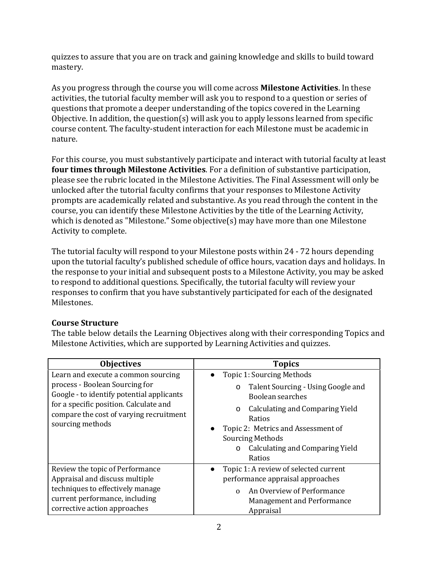quizzes to assure that you are on track and gaining knowledge and skills to build toward mastery.

As you progress through the course you will come across **Milestone Activities**. In these activities, the tutorial faculty member will ask you to respond to a question or series of questions that promote a deeper understanding of the topics covered in the Learning Objective. In addition, the question(s) will ask you to apply lessons learned from specific course content. The faculty-student interaction for each Milestone must be academic in nature.

For this course, you must substantively participate and interact with tutorial faculty at least **four times through Milestone Activities**. For a definition of substantive participation, please see the rubric located in the Milestone Activities. The Final Assessment will only be unlocked after the tutorial faculty confirms that your responses to Milestone Activity prompts are academically related and substantive. As you read through the content in the course, you can identify these Milestone Activities by the title of the Learning Activity, which is denoted as "Milestone." Some objective(s) may have more than one Milestone Activity to complete.

The tutorial faculty will respond to your Milestone posts within 24 - 72 hours depending upon the tutorial faculty's published schedule of office hours, vacation days and holidays. In the response to your initial and subsequent posts to a Milestone Activity, you may be asked to respond to additional questions. Specifically, the tutorial faculty will review your responses to confirm that you have substantively participated for each of the designated Milestones.

# **Course Structure**

The table below details the Learning Objectives along with their corresponding Topics and Milestone Activities, which are supported by Learning Activities and quizzes.

| <b>Objectives</b>                                                                                                                                                                                                           | <b>Topics</b>                                                                                                                                                                                                                                                        |
|-----------------------------------------------------------------------------------------------------------------------------------------------------------------------------------------------------------------------------|----------------------------------------------------------------------------------------------------------------------------------------------------------------------------------------------------------------------------------------------------------------------|
| Learn and execute a common sourcing<br>process - Boolean Sourcing for<br>Google - to identify potential applicants<br>for a specific position. Calculate and<br>compare the cost of varying recruitment<br>sourcing methods | Topic 1: Sourcing Methods<br>Talent Sourcing - Using Google and<br>O<br>Boolean searches<br>Calculating and Comparing Yield<br>O<br>Ratios<br>Topic 2: Metrics and Assessment of<br><b>Sourcing Methods</b><br>Calculating and Comparing Yield<br>$\Omega$<br>Ratios |
| Review the topic of Performance<br>Appraisal and discuss multiple<br>techniques to effectively manage<br>current performance, including<br>corrective action approaches                                                     | Topic 1: A review of selected current<br>performance appraisal approaches<br>An Overview of Performance<br>$\Omega$<br><b>Management and Performance</b><br>Appraisal                                                                                                |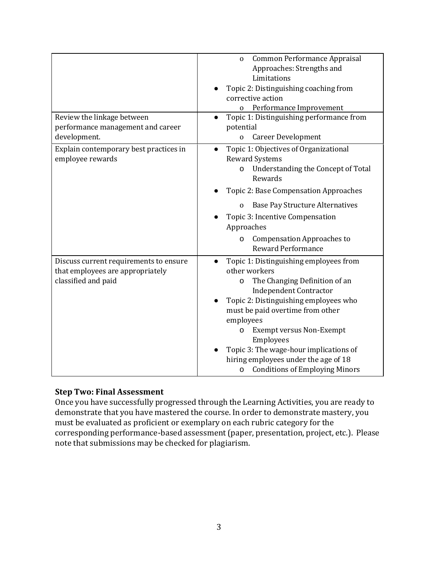|                                                                                                   | Common Performance Appraisal<br>$\mathbf{O}$<br>Approaches: Strengths and<br>Limitations<br>Topic 2: Distinguishing coaching from<br>corrective action                                                                                                                                                                                                                                                                     |
|---------------------------------------------------------------------------------------------------|----------------------------------------------------------------------------------------------------------------------------------------------------------------------------------------------------------------------------------------------------------------------------------------------------------------------------------------------------------------------------------------------------------------------------|
| Review the linkage between                                                                        | Performance Improvement<br>Topic 1: Distinguishing performance from                                                                                                                                                                                                                                                                                                                                                        |
| performance management and career<br>development.                                                 | potential<br><b>Career Development</b><br>$\mathbf 0$                                                                                                                                                                                                                                                                                                                                                                      |
| Explain contemporary best practices in<br>employee rewards                                        | Topic 1: Objectives of Organizational<br>$\bullet$<br><b>Reward Systems</b><br>Understanding the Concept of Total<br>о<br>Rewards<br>Topic 2: Base Compensation Approaches                                                                                                                                                                                                                                                 |
|                                                                                                   | <b>Base Pay Structure Alternatives</b><br>$\mathbf 0$<br>Topic 3: Incentive Compensation<br>Approaches                                                                                                                                                                                                                                                                                                                     |
|                                                                                                   | <b>Compensation Approaches to</b><br>о<br><b>Reward Performance</b>                                                                                                                                                                                                                                                                                                                                                        |
| Discuss current requirements to ensure<br>that employees are appropriately<br>classified and paid | Topic 1: Distinguishing employees from<br>$\bullet$<br>other workers<br>The Changing Definition of an<br>o<br><b>Independent Contractor</b><br>Topic 2: Distinguishing employees who<br>must be paid overtime from other<br>employees<br><b>Exempt versus Non-Exempt</b><br>O<br>Employees<br>Topic 3: The wage-hour implications of<br>hiring employees under the age of 18<br><b>Conditions of Employing Minors</b><br>O |

# **Step Two: Final Assessment**

Once you have successfully progressed through the Learning Activities, you are ready to demonstrate that you have mastered the course. In order to demonstrate mastery, you must be evaluated as proficient or exemplary on each rubric category for the corresponding performance-based assessment(paper, presentation, project, etc.). Please note that submissions may be checked for plagiarism.